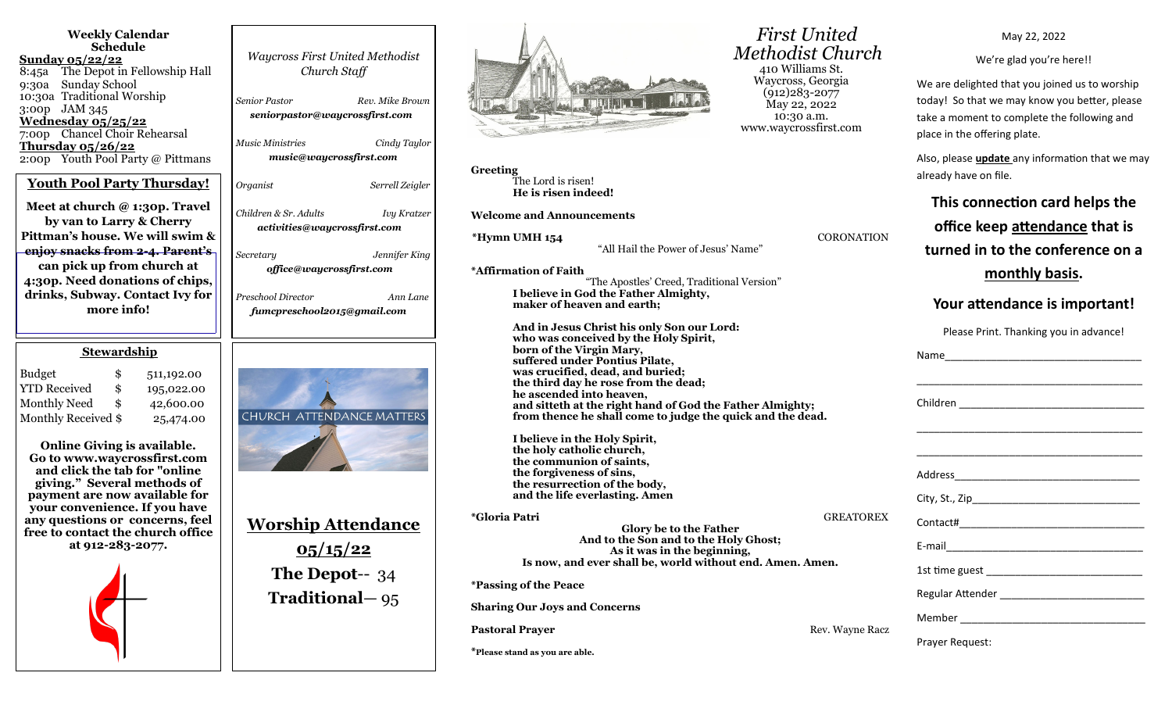| <b>Weekly Calendar</b><br>Schedule<br><u>Sunday 05/22/22</u><br>The Depot in Fellowship Hall<br>8:45a<br>9:30a<br><b>Sunday School</b><br>10:30a Traditional Worship<br>3:00p JAM 345<br>Wednesday 05/25/22<br>7:00p Chancel Choir Rehearsal<br>Thursday $0.5/26/22$<br>2:00p Youth Pool Party @ Pittmans<br><b>Youth Pool Party Thursday!</b><br>Meet at church @ 1:30p. Travel<br>by van to Larry & Cherry<br>Pittman's house. We will swim &<br>enjoy snacks from 2-4. Parent's<br>can pick up from church at<br>4:30p. Need donations of chips,<br>drinks, Subway. Contact Ivy for<br>more info! | <b>Waycross First United Methodist</b><br>Church Staff<br><b>Senior Pastor</b><br>Rev. Mike Brown<br>seniorpastor@waycrossfirst.com<br><b>Music Ministries</b><br>Cindy Taylor<br>music@waycrossfirst.com<br>Organist<br>Serrell Zeigler<br>Children & Sr. Adults<br>Ivy Kratzer<br>activities@waycrossfirst.com<br>Secretary<br>Jennifer King<br>office@waycrossfirst.com<br>Preschool Director<br>Ann Lane<br>fumcpreschool2015@gmail.com |
|------------------------------------------------------------------------------------------------------------------------------------------------------------------------------------------------------------------------------------------------------------------------------------------------------------------------------------------------------------------------------------------------------------------------------------------------------------------------------------------------------------------------------------------------------------------------------------------------------|---------------------------------------------------------------------------------------------------------------------------------------------------------------------------------------------------------------------------------------------------------------------------------------------------------------------------------------------------------------------------------------------------------------------------------------------|
| <b>Stewardship</b><br><b>Budget</b><br>\$<br>511,192.00<br><b>YTD Received</b><br>\$<br>195,022.00<br>Monthly Need<br>42,600.00<br>\$<br>Monthly Received \$<br>25,474.00<br>Online Giving is available.<br>Go to www.waycrossfirst.com<br>and click the tab for "online<br>giving." Several methods of<br>payment are now available for<br>your convenience. If you have<br>any questions or concerns, feel<br>free to contact the church office<br>at 912-283-2077.                                                                                                                                | CHURCH ATTENDANCE MATTERS<br><u>Worship Attendance</u><br>05/15/22<br>The Depot- $-34$<br><b>Traditional</b> - 95                                                                                                                                                                                                                                                                                                                           |



**Greeting** The Lord is risen! **He is risen indeed!**

**Welcome and Announcements** 

**\*Hymn UMH 154** CORONATION

"All Hail the Power of Jesus' Name"

**\*Affirmation of Faith**  "The Apostles' Creed, Traditional Version"

**I believe in God the Father Almighty, maker of heaven and earth;**

**And in Jesus Christ his only Son our Lord: who was conceived by the Holy Spirit, born of the Virgin Mary, suffered under Pontius Pilate, was crucified, dead, and buried; the third day he rose from the dead; he ascended into heaven, and sitteth at the right hand of God the Father Almighty; from thence he shall come to judge the quick and the dead.**

**I believe in the Holy Spirit, the holy catholic church, the communion of saints, the forgiveness of sins, the resurrection of the body, and the life everlasting. Amen**

**\*Gloria Patri** GREATOREX **Glory be to the Father And to the Son and to the Holy Ghost; As it was in the beginning, Is now, and ever shall be, world without end. Amen. Amen.**

**\*Passing of the Peace**

**Sharing Our Joys and Concerns**

**Pastoral Prayer and Prayer and Prayer Access 2008 Rev. Wayne Racz** 

**\*Please stand as you are able.**

 *First United Methodist Church* 410 Williams St. Waycross, Georgia (912)283-2077 May 22, 2022 10:30 a.m. www.waycrossfirst.com

May 22, 2022

We're glad you're here!!

We are delighted that you joined us to worship today! So that we may know you better, please take a moment to complete the following and place in the offering plate.

Also, please **update** any information that we may already have on file.

| This connection card helps the<br>office keep attendance that is<br>turned in to the conference on a |  |  |
|------------------------------------------------------------------------------------------------------|--|--|
| monthly basis.                                                                                       |  |  |
| Your attendance is important!                                                                        |  |  |
| Please Print. Thanking you in advance!                                                               |  |  |
|                                                                                                      |  |  |
|                                                                                                      |  |  |
|                                                                                                      |  |  |
|                                                                                                      |  |  |
|                                                                                                      |  |  |
|                                                                                                      |  |  |
|                                                                                                      |  |  |
|                                                                                                      |  |  |
| <b>Prayer Request:</b>                                                                               |  |  |